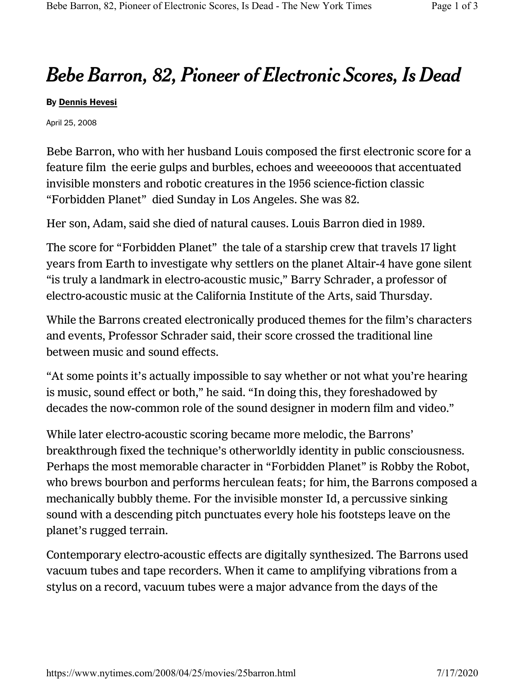## Bebe Barron, 82, Pioneer of Electronic Scores, Is Dead

## By Dennis Hevesi

April 25, 2008

Bebe Barron, who with her husband Louis composed the first electronic score for a feature film the eerie gulps and burbles, echoes and weeeoooos that accentuated invisible monsters and robotic creatures in the 1956 science-fiction classic "Forbidden Planet" died Sunday in Los Angeles. She was 82.

Her son, Adam, said she died of natural causes. Louis Barron died in 1989.

The score for "Forbidden Planet" the tale of a starship crew that travels 17 light years from Earth to investigate why settlers on the planet Altair-4 have gone silent "is truly a landmark in electro-acoustic music," Barry Schrader, a professor of electro-acoustic music at the California Institute of the Arts, said Thursday.

While the Barrons created electronically produced themes for the film's characters and events, Professor Schrader said, their score crossed the traditional line between music and sound effects.

"At some points it's actually impossible to say whether or not what you're hearing is music, sound effect or both," he said. "In doing this, they foreshadowed by decades the now-common role of the sound designer in modern film and video."

While later electro-acoustic scoring became more melodic, the Barrons' breakthrough fixed the technique's otherworldly identity in public consciousness. Perhaps the most memorable character in "Forbidden Planet" is Robby the Robot, who brews bourbon and performs herculean feats; for him, the Barrons composed a mechanically bubbly theme. For the invisible monster Id, a percussive sinking sound with a descending pitch punctuates every hole his footsteps leave on the planet's rugged terrain.

Contemporary electro-acoustic effects are digitally synthesized. The Barrons used vacuum tubes and tape recorders. When it came to amplifying vibrations from a stylus on a record, vacuum tubes were a major advance from the days of the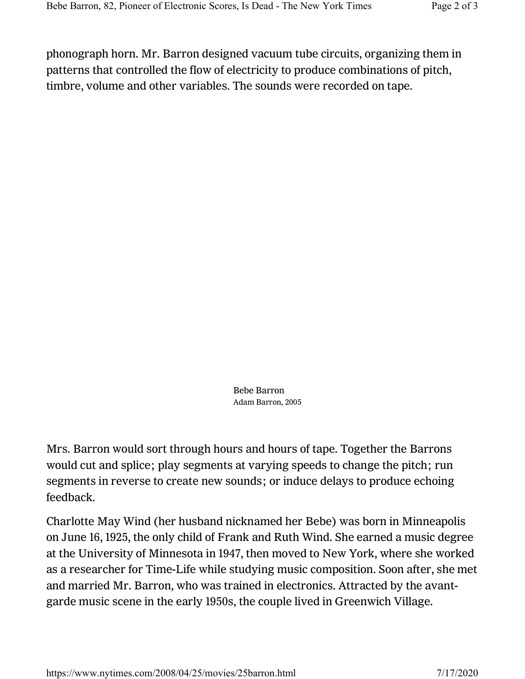phonograph horn. Mr. Barron designed vacuum tube circuits, organizing them in patterns that controlled the flow of electricity to produce combinations of pitch, timbre, volume and other variables. The sounds were recorded on tape.

> Bebe Barron Adam Barron, 2005

Mrs. Barron would sort through hours and hours of tape. Together the Barrons would cut and splice; play segments at varying speeds to change the pitch; run segments in reverse to create new sounds; or induce delays to produce echoing feedback.

Charlotte May Wind (her husband nicknamed her Bebe) was born in Minneapolis on June 16, 1925, the only child of Frank and Ruth Wind. She earned a music degree at the University of Minnesota in 1947, then moved to New York, where she worked as a researcher for Time-Life while studying music composition. Soon after, she met and married Mr. Barron, who was trained in electronics. Attracted by the avantgarde music scene in the early 1950s, the couple lived in Greenwich Village.